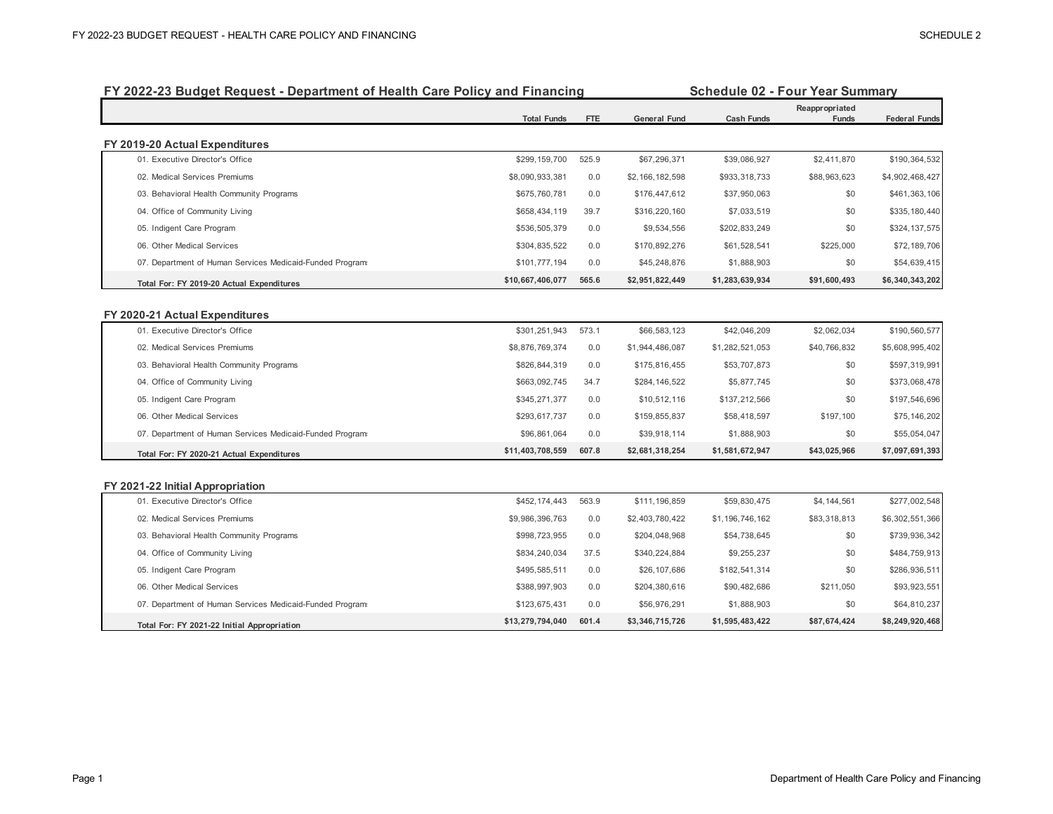| FY 2022-23 Budget Request - Department of Health Care Policy and Financing |                    | <b>Schedule 02 - Four Year Summary</b> |                     |                   |                         |                      |
|----------------------------------------------------------------------------|--------------------|----------------------------------------|---------------------|-------------------|-------------------------|----------------------|
|                                                                            | <b>Total Funds</b> | FTE                                    | <b>General Fund</b> | <b>Cash Funds</b> | Reappropriated<br>Funds | <b>Federal Funds</b> |
| FY 2019-20 Actual Expenditures                                             |                    |                                        |                     |                   |                         |                      |
| 01. Executive Director's Office                                            | \$299,159,700      | 525.9                                  | \$67,296,371        | \$39,086,927      | \$2,411,870             | \$190,364,532        |
| 02. Medical Services Premiums                                              | \$8,090,933,381    | 0.0                                    | \$2,166,182,598     | \$933,318,733     | \$88,963,623            | \$4,902,468,427      |
| 03. Behavioral Health Community Programs                                   | \$675,760,781      | 0.0                                    | \$176,447,612       | \$37,950,063      | \$0                     | \$461,363,106        |
| 04. Office of Community Living                                             | \$658,434,119      | 39.7                                   | \$316,220,160       | \$7,033,519       | \$0                     | \$335, 180, 440      |
| 05. Indigent Care Program                                                  | \$536,505,379      | 0.0                                    | \$9,534,556         | \$202,833,249     | \$0                     | \$324, 137, 575      |
| 06. Other Medical Services                                                 | \$304,835,522      | 0.0                                    | \$170,892,276       | \$61,528,541      | \$225,000               | \$72,189,706         |
| 07. Department of Human Services Medicaid-Funded Programs                  | \$101,777,194      | 0.0                                    | \$45,248,876        | \$1,888,903       | \$0                     | \$54,639,415         |
| Total For: FY 2019-20 Actual Expenditures                                  | \$10,667,406,077   | 565.6                                  | \$2,951,822,449     | \$1,283,639,934   | \$91,600,493            | \$6,340,343,202      |
|                                                                            |                    |                                        |                     |                   |                         |                      |
| FY 2020-21 Actual Expenditures<br>01. Executive Director's Office          | \$301,251,943      | 573.1                                  | \$66,583,123        | \$42,046,209      | \$2,062,034             | \$190,560,577        |
| 02. Medical Services Premiums                                              | \$8,876,769,374    | 0.0                                    | \$1,944,486,087     | \$1,282,521,053   | \$40,766,832            | \$5,608,995,402      |
| 03. Behavioral Health Community Programs                                   | \$826,844,319      | 0.0                                    | \$175,816,455       | \$53,707,873      | \$0                     | \$597,319,991        |
| 04. Office of Community Living                                             | \$663,092,745      | 34.7                                   | \$284,146,522       | \$5,877,745       | \$0                     | \$373,068,478        |
| 05. Indigent Care Program                                                  | \$345,271,377      | 0.0                                    | \$10,512,116        | \$137,212,566     | \$0                     | \$197,546,696        |
| 06. Other Medical Services                                                 | \$293,617,737      | 0.0                                    | \$159,855,837       | \$58,418,597      | \$197,100               | \$75,146,202         |
| 07. Department of Human Services Medicaid-Funded Programs                  | \$96,861,064       | 0.0                                    | \$39,918,114        | \$1,888,903       | \$0                     | \$55,054,047         |
| Total For: FY 2020-21 Actual Expenditures                                  | \$11,403,708,559   | 607.8                                  | \$2,681,318,254     | \$1,581,672,947   | \$43,025,966            | \$7,097,691,393      |
|                                                                            |                    |                                        |                     |                   |                         |                      |
| FY 2021-22 Initial Appropriation<br>01. Executive Director's Office        | \$452,174,443      | 563.9                                  | \$111,196,859       | \$59,830,475      | \$4,144,561             | \$277,002,548        |
| 02. Medical Services Premiums                                              | \$9,986,396,763    | 0.0                                    | \$2,403,780,422     | \$1,196,746,162   | \$83,318,813            | \$6,302,551,366      |
| 03. Behavioral Health Community Programs                                   | \$998,723,955      | 0.0                                    | \$204,048,968       | \$54,738,645      | \$0                     | \$739,936,342        |
| 04. Office of Community Living                                             | \$834,240,034      | 37.5                                   | \$340,224,884       | \$9,255,237       | \$0                     | \$484,759,913        |
| 05. Indigent Care Program                                                  | \$495,585,511      | 0.0                                    | \$26,107,686        | \$182,541,314     | \$0                     | \$286,936,511        |
| 06. Other Medical Services                                                 | \$388,997,903      | 0.0                                    | \$204,380,616       | \$90,482,686      | \$211,050               | \$93,923,551         |
| 07. Department of Human Services Medicaid-Funded Programs                  | \$123,675,431      | 0.0                                    | \$56,976,291        | \$1,888,903       | \$0                     | \$64,810,237         |
| Total For: FY 2021-22 Initial Appropriation                                | \$13,279,794,040   | 601.4                                  | \$3,346,715,726     | \$1,595,483,422   | \$87,674,424            | \$8,249,920,468      |

## **FY 2022-23 Budget Request - Department of Health Care Policy and Financing**